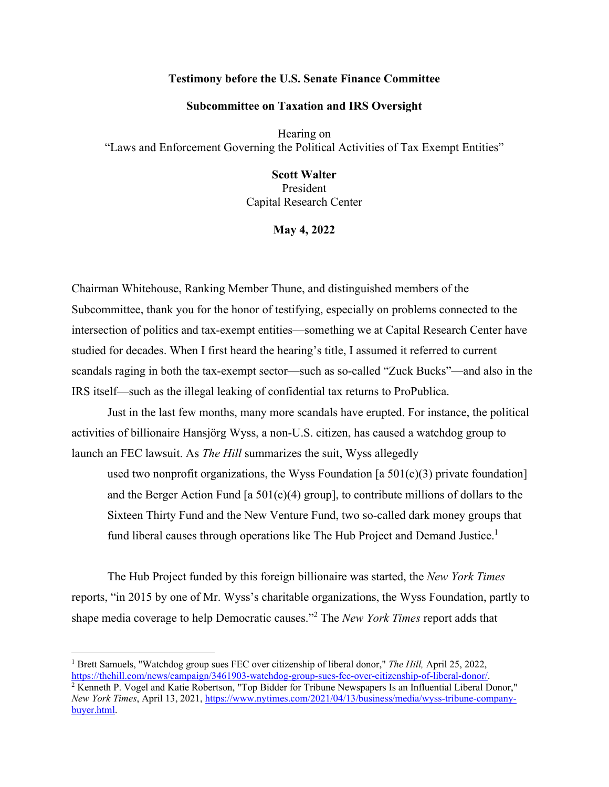## **Testimony before the U.S. Senate Finance Committee**

### **Subcommittee on Taxation and IRS Oversight**

Hearing on "Laws and Enforcement Governing the Political Activities of Tax Exempt Entities"

# **Scott Walter**

President Capital Research Center

**May 4, 2022** 

Chairman Whitehouse, Ranking Member Thune, and distinguished members of the Subcommittee, thank you for the honor of testifying, especially on problems connected to the intersection of politics and tax-exempt entities—something we at Capital Research Center have studied for decades. When I first heard the hearing's title, I assumed it referred to current scandals raging in both the tax-exempt sector—such as so-called "Zuck Bucks"—and also in the IRS itself—such as the illegal leaking of confidential tax returns to ProPublica.

Just in the last few months, many more scandals have erupted. For instance, the political activities of billionaire Hansjörg Wyss, a non-U.S. citizen, has caused a watchdog group to launch an FEC lawsuit. As *The Hill* summarizes the suit, Wyss allegedly

used two nonprofit organizations, the Wyss Foundation [a  $501(c)(3)$  private foundation] and the Berger Action Fund [a  $501(c)(4)$  group], to contribute millions of dollars to the Sixteen Thirty Fund and the New Venture Fund, two so-called dark money groups that fund liberal causes through operations like The Hub Project and Demand Justice.<sup>1</sup>

The Hub Project funded by this foreign billionaire was started, the *New York Times* reports, "in 2015 by one of Mr. Wyss's charitable organizations, the Wyss Foundation, partly to shape media coverage to help Democratic causes."<sup>2</sup> The *New York Times* report adds that

<sup>&</sup>lt;sup>1</sup> Brett Samuels, "Watchdog group sues FEC over citizenship of liberal donor," *The Hill*, April 25, 2022, https://thehill.com/news/campaign/3461903-watchdog-group-sues-fec-over-citizenship-of-liberal-donor/. 2

 $\frac{1}{2}$  Kenneth P. Vogel and Katie Robertson, "Top Bidder for Tribune Newspapers Is an Influential Liberal Donor," *New York Times*, April 13, 2021, https://www.nytimes.com/2021/04/13/business/media/wyss-tribune-companybuyer.html.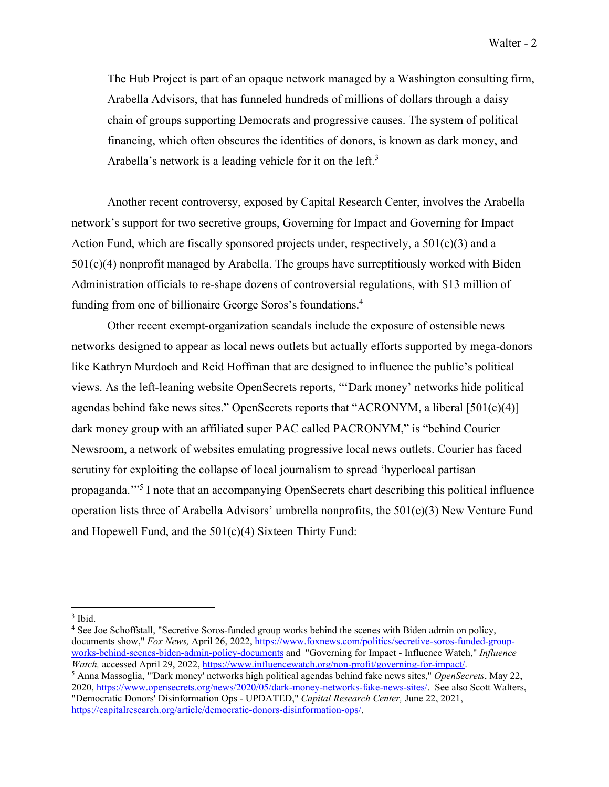The Hub Project is part of an opaque network managed by a Washington consulting firm, Arabella Advisors, that has funneled hundreds of millions of dollars through a daisy chain of groups supporting Democrats and progressive causes. The system of political financing, which often obscures the identities of donors, is known as dark money, and Arabella's network is a leading vehicle for it on the left.<sup>3</sup>

Another recent controversy, exposed by Capital Research Center, involves the Arabella network's support for two secretive groups, Governing for Impact and Governing for Impact Action Fund, which are fiscally sponsored projects under, respectively, a  $501(c)(3)$  and a 501(c)(4) nonprofit managed by Arabella. The groups have surreptitiously worked with Biden Administration officials to re-shape dozens of controversial regulations, with \$13 million of funding from one of billionaire George Soros's foundations.4

Other recent exempt-organization scandals include the exposure of ostensible news networks designed to appear as local news outlets but actually efforts supported by mega-donors like Kathryn Murdoch and Reid Hoffman that are designed to influence the public's political views. As the left-leaning website OpenSecrets reports, "'Dark money' networks hide political agendas behind fake news sites." OpenSecrets reports that "ACRONYM, a liberal [501(c)(4)] dark money group with an affiliated super PAC called PACRONYM," is "behind Courier Newsroom, a network of websites emulating progressive local news outlets. Courier has faced scrutiny for exploiting the collapse of local journalism to spread 'hyperlocal partisan propaganda."<sup>5</sup> I note that an accompanying OpenSecrets chart describing this political influence operation lists three of Arabella Advisors' umbrella nonprofits, the 501(c)(3) New Venture Fund and Hopewell Fund, and the 501(c)(4) Sixteen Thirty Fund:

<sup>4</sup> See Joe Schoffstall, "Secretive Soros-funded group works behind the scenes with Biden admin on policy, documents show," *Fox News, April 26, 2022*, https://www.foxnews.com/politics/secretive-soros-funded-groupworks-behind-scenes-biden-admin-policy-documents and "Governing for Impact - Influence Watch," *Influence Watch, accessed April 29, 2022, https://www.influencewatch.org/non-profit/governing-for-impact/.* 

 Anna Massoglia, "'Dark money' networks high political agendas behind fake news sites," *OpenSecrets*, May 22, 2020, https://www.opensecrets.org/news/2020/05/dark-money-networks-fake-news-sites/. See also Scott Walters, "Democratic Donors' Disinformation Ops - UPDATED," *Capital Research Center,* June 22, 2021, https://capitalresearch.org/article/democratic-donors-disinformation-ops/.

<sup>3</sup> Ibid.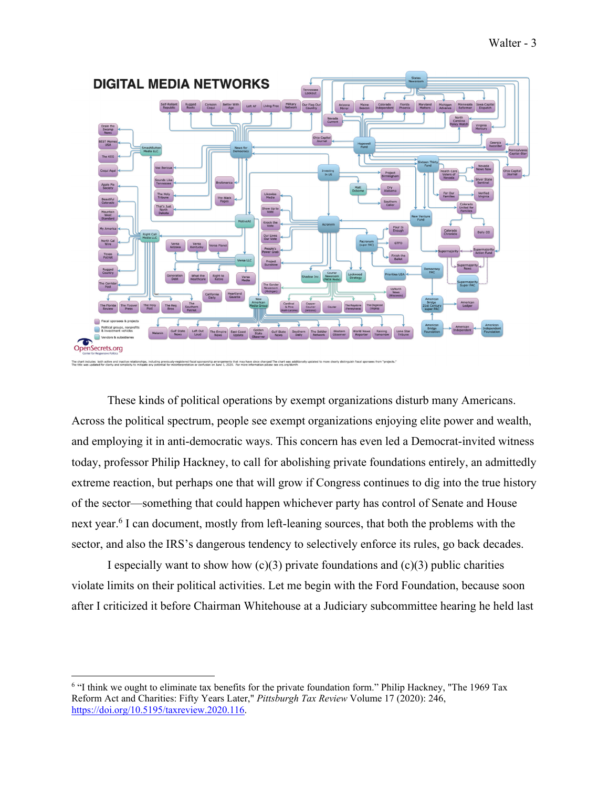

These kinds of political operations by exempt organizations disturb many Americans. Across the political spectrum, people see exempt organizations enjoying elite power and wealth, and employing it in anti-democratic ways. This concern has even led a Democrat-invited witness today, professor Philip Hackney, to call for abolishing private foundations entirely, an admittedly extreme reaction, but perhaps one that will grow if Congress continues to dig into the true history of the sector—something that could happen whichever party has control of Senate and House next year.<sup>6</sup> I can document, mostly from left-leaning sources, that both the problems with the sector, and also the IRS's dangerous tendency to selectively enforce its rules, go back decades.

I especially want to show how  $(c)(3)$  private foundations and  $(c)(3)$  public charities violate limits on their political activities. Let me begin with the Ford Foundation, because soon after I criticized it before Chairman Whitehouse at a Judiciary subcommittee hearing he held last

<sup>&</sup>lt;sup>6</sup> "I think we ought to eliminate tax benefits for the private foundation form." Philip Hackney, "The 1969 Tax Reform Act and Charities: Fifty Years Later," *Pittsburgh Tax Review* Volume 17 (2020): 246, https://doi.org/10.5195/taxreview.2020.116.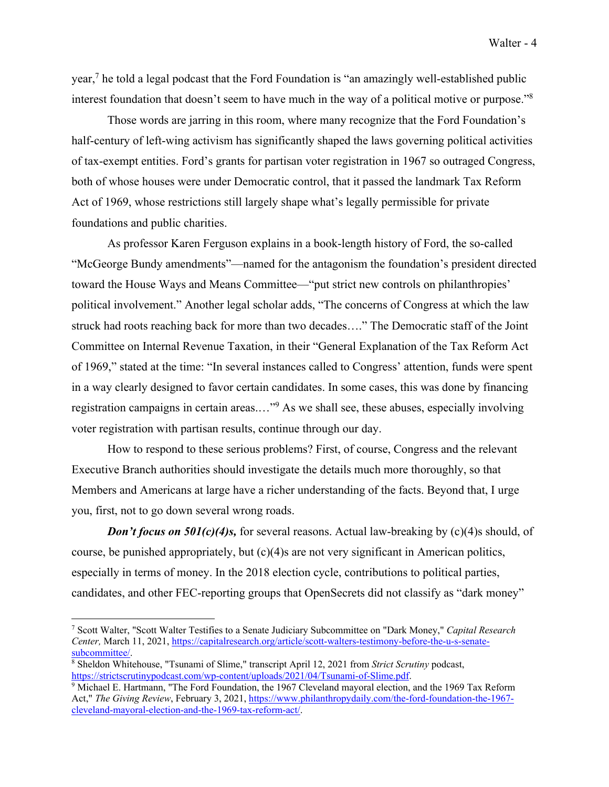year,<sup>7</sup> he told a legal podcast that the Ford Foundation is "an amazingly well-established public interest foundation that doesn't seem to have much in the way of a political motive or purpose."<sup>8</sup>

Those words are jarring in this room, where many recognize that the Ford Foundation's half-century of left-wing activism has significantly shaped the laws governing political activities of tax-exempt entities. Ford's grants for partisan voter registration in 1967 so outraged Congress, both of whose houses were under Democratic control, that it passed the landmark Tax Reform Act of 1969, whose restrictions still largely shape what's legally permissible for private foundations and public charities.

As professor Karen Ferguson explains in a book-length history of Ford, the so-called "McGeorge Bundy amendments"—named for the antagonism the foundation's president directed toward the House Ways and Means Committee—"put strict new controls on philanthropies' political involvement." Another legal scholar adds, "The concerns of Congress at which the law struck had roots reaching back for more than two decades…." The Democratic staff of the Joint Committee on Internal Revenue Taxation, in their "General Explanation of the Tax Reform Act of 1969," stated at the time: "In several instances called to Congress' attention, funds were spent in a way clearly designed to favor certain candidates. In some cases, this was done by financing registration campaigns in certain areas...."<sup>9</sup> As we shall see, these abuses, especially involving voter registration with partisan results, continue through our day.

How to respond to these serious problems? First, of course, Congress and the relevant Executive Branch authorities should investigate the details much more thoroughly, so that Members and Americans at large have a richer understanding of the facts. Beyond that, I urge you, first, not to go down several wrong roads.

**Don't focus on 501(c)(4)s,** for several reasons. Actual law-breaking by (c)(4)s should, of course, be punished appropriately, but (c)(4)s are not very significant in American politics, especially in terms of money. In the 2018 election cycle, contributions to political parties, candidates, and other FEC-reporting groups that OpenSecrets did not classify as "dark money"

<sup>7</sup> Scott Walter, "Scott Walter Testifies to a Senate Judiciary Subcommittee on "Dark Money," *Capital Research Center,* March 11, 2021, https://capitalresearch.org/article/scott-walters-testimony-before-the-u-s-senatesubcommittee/.

Sheldon Whitehouse, "Tsunami of Slime," transcript April 12, 2021 from *Strict Scrutiny* podcast, https://strictscrutinypodcast.com/wp-content/uploads/2021/04/Tsunami-of-Slime.pdf.

<sup>&</sup>lt;sup>9</sup> Michael E. Hartmann, "The Ford Foundation, the 1967 Cleveland mayoral election, and the 1969 Tax Reform Act," *The Giving Review*, February 3, 2021, https://www.philanthropydaily.com/the-ford-foundation-the-1967 cleveland-mayoral-election-and-the-1969-tax-reform-act/.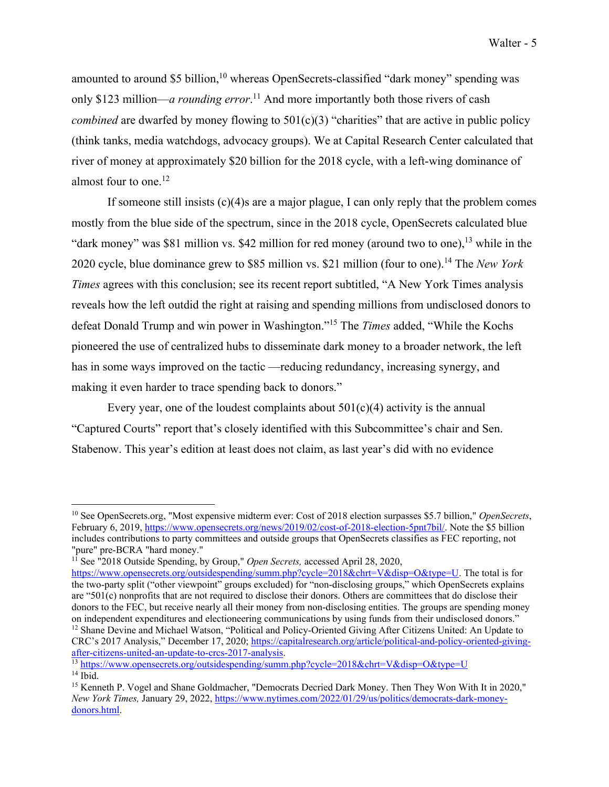amounted to around \$5 billion,<sup>10</sup> whereas OpenSecrets-classified "dark money" spending was only \$123 million—*a rounding error*. 11 And more importantly both those rivers of cash *combined* are dwarfed by money flowing to 501(c)(3) "charities" that are active in public policy (think tanks, media watchdogs, advocacy groups). We at Capital Research Center calculated that river of money at approximately \$20 billion for the 2018 cycle, with a left-wing dominance of almost four to one.<sup>12</sup>

If someone still insists  $(c)(4)$ s are a major plague, I can only reply that the problem comes mostly from the blue side of the spectrum, since in the 2018 cycle, OpenSecrets calculated blue "dark money" was \$81 million vs. \$42 million for red money (around two to one),  $^{13}$  while in the 2020 cycle, blue dominance grew to \$85 million vs. \$21 million (four to one).14 The *New York Times* agrees with this conclusion; see its recent report subtitled, "A New York Times analysis reveals how the left outdid the right at raising and spending millions from undisclosed donors to defeat Donald Trump and win power in Washington."15 The *Times* added, "While the Kochs pioneered the use of centralized hubs to disseminate dark money to a broader network, the left has in some ways improved on the tactic —reducing redundancy, increasing synergy, and making it even harder to trace spending back to donors."

Every year, one of the loudest complaints about  $501(c)(4)$  activity is the annual "Captured Courts" report that's closely identified with this Subcommittee's chair and Sen. Stabenow. This year's edition at least does not claim, as last year's did with no evidence

<sup>10</sup> See OpenSecrets.org, "Most expensive midterm ever: Cost of 2018 election surpasses \$5.7 billion," *OpenSecrets*, February 6, 2019, https://www.opensecrets.org/news/2019/02/cost-of-2018-election-5pnt7bil/. Note the \$5 billion includes contributions to party committees and outside groups that OpenSecrets classifies as FEC reporting, not "pure" pre-BCRA "hard money."

<sup>&</sup>lt;sup>11</sup> See "2018 Outside Spending, by Group," *Open Secrets*, accessed April 28, 2020,

https://www.opensecrets.org/outsidespending/summ.php?cycle=2018&chrt=V&disp=O&type=U. The total is for the two-party split ("other viewpoint" groups excluded) for "non-disclosing groups," which OpenSecrets explains are "501(c) nonprofits that are not required to disclose their donors. Others are committees that do disclose their donors to the FEC, but receive nearly all their money from non-disclosing entities. The groups are spending money on independent expenditures and electioneering communications by using funds from their undisclosed donors." <sup>12</sup> Shane Devine and Michael Watson, "Political and Policy-Oriented Giving After Citizens United: An Update to CRC's 2017 Analysis," December 17, 2020; https://capitalresearch.org/article/political-and-policy-oriented-givingafter-citizens-united-an-update-to-crcs-2017-analysis. 13 https://www.opensecrets.org/outsidespending/summ.php?cycle=2018&chrt=V&disp=O&type=U

 $14$  Ibid.

<sup>&</sup>lt;sup>15</sup> Kenneth P. Vogel and Shane Goldmacher, "Democrats Decried Dark Money. Then They Won With It in 2020," *New York Times,* January 29, 2022, https://www.nytimes.com/2022/01/29/us/politics/democrats-dark-moneydonors.html.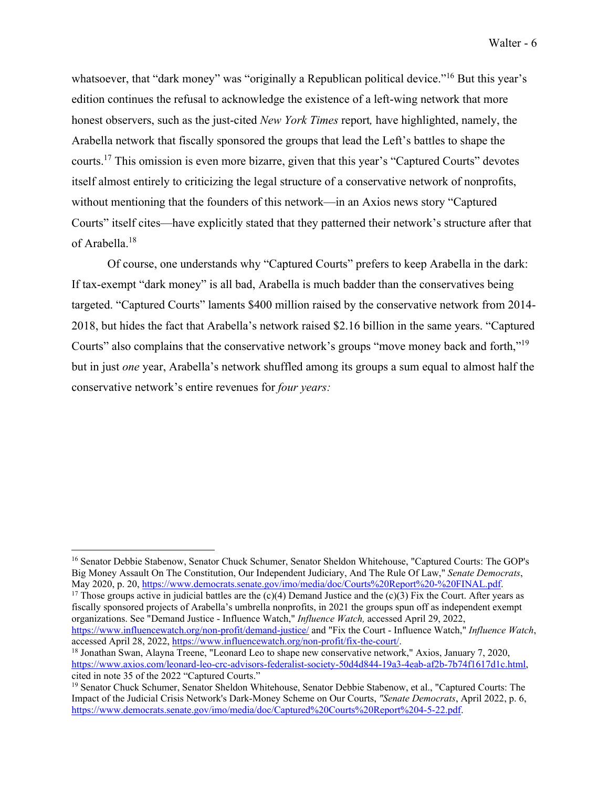whatsoever, that "dark money" was "originally a Republican political device."<sup>16</sup> But this year's edition continues the refusal to acknowledge the existence of a left-wing network that more honest observers, such as the just-cited *New York Times* report*,* have highlighted, namely, the Arabella network that fiscally sponsored the groups that lead the Left's battles to shape the courts.17 This omission is even more bizarre, given that this year's "Captured Courts" devotes itself almost entirely to criticizing the legal structure of a conservative network of nonprofits, without mentioning that the founders of this network—in an Axios news story "Captured Courts" itself cites—have explicitly stated that they patterned their network's structure after that of Arabella.18

Of course, one understands why "Captured Courts" prefers to keep Arabella in the dark: If tax-exempt "dark money" is all bad, Arabella is much badder than the conservatives being targeted. "Captured Courts" laments \$400 million raised by the conservative network from 2014- 2018, but hides the fact that Arabella's network raised \$2.16 billion in the same years. "Captured Courts" also complains that the conservative network's groups "move money back and forth,"19 but in just *one* year, Arabella's network shuffled among its groups a sum equal to almost half the conservative network's entire revenues for *four years:* 

<sup>17</sup> Those groups active in judicial battles are the (c)(4) Demand Justice and the (c)(3) Fix the Court. After years as fiscally sponsored projects of Arabella's umbrella nonprofits, in 2021 the groups spun off as independent exempt organizations. See "Demand Justice - Influence Watch," *Influence Watch,* accessed April 29, 2022, https://www.influencewatch.org/non-profit/demand-justice/ and "Fix the Court - Influence Watch," *Influence Watch*,

<sup>&</sup>lt;sup>16</sup> Senator Debbie Stabenow, Senator Chuck Schumer, Senator Sheldon Whitehouse, "Captured Courts: The GOP's Big Money Assault On The Constitution, Our Independent Judiciary, And The Rule Of Law," *Senate Democrats*, May 2020, p. 20, https://www.democrats.senate.gov/imo/media/doc/Courts%20Report%20-%20FINAL.pdf.

 $^{18}$  Jonathan Swan, Alayna Treene, "Leonard Leo to shape new conservative network," Axios, January 7, 2020, https://www.axios.com/leonard-leo-crc-advisors-federalist-society-50d4d844-19a3-4eab-af2b-7b74f1617d1c.html, cited in note 35 of the 2022 "Captured Courts."

<sup>19</sup> Senator Chuck Schumer, Senator Sheldon Whitehouse, Senator Debbie Stabenow, et al., "Captured Courts: The Impact of the Judicial Crisis Network's Dark-Money Scheme on Our Courts, *"Senate Democrats*, April 2022, p. 6, https://www.democrats.senate.gov/imo/media/doc/Captured%20Courts%20Report%204-5-22.pdf.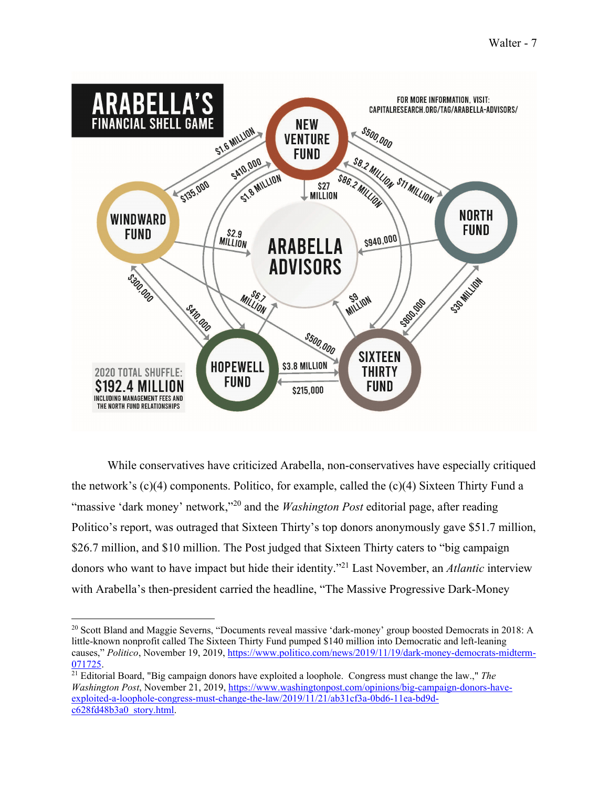

 While conservatives have criticized Arabella, non-conservatives have especially critiqued the network's (c)(4) components. Politico, for example, called the (c)(4) Sixteen Thirty Fund a "massive 'dark money' network,"20 and the *Washington Post* editorial page, after reading Politico's report, was outraged that Sixteen Thirty's top donors anonymously gave \$51.7 million, \$26.7 million, and \$10 million. The Post judged that Sixteen Thirty caters to "big campaign" donors who want to have impact but hide their identity."21 Last November, an *Atlantic* interview with Arabella's then-president carried the headline, "The Massive Progressive Dark-Money

<sup>&</sup>lt;sup>20</sup> Scott Bland and Maggie Severns, "Documents reveal massive 'dark-money' group boosted Democrats in 2018: A little-known nonprofit called The Sixteen Thirty Fund pumped \$140 million into Democratic and left-leaning causes," *Politico*, November 19, 2019, https://www.politico.com/news/2019/11/19/dark-money-democrats-midterm-

<sup>071725. 21</sup> Editorial Board, "Big campaign donors have exploited a loophole. Congress must change the law.," *The Washington Post*, November 21, 2019, https://www.washingtonpost.com/opinions/big-campaign-donors-haveexploited-a-loophole-congress-must-change-the-law/2019/11/21/ab31cf3a-0bd6-11ea-bd9dc628fd48b3a0\_story.html.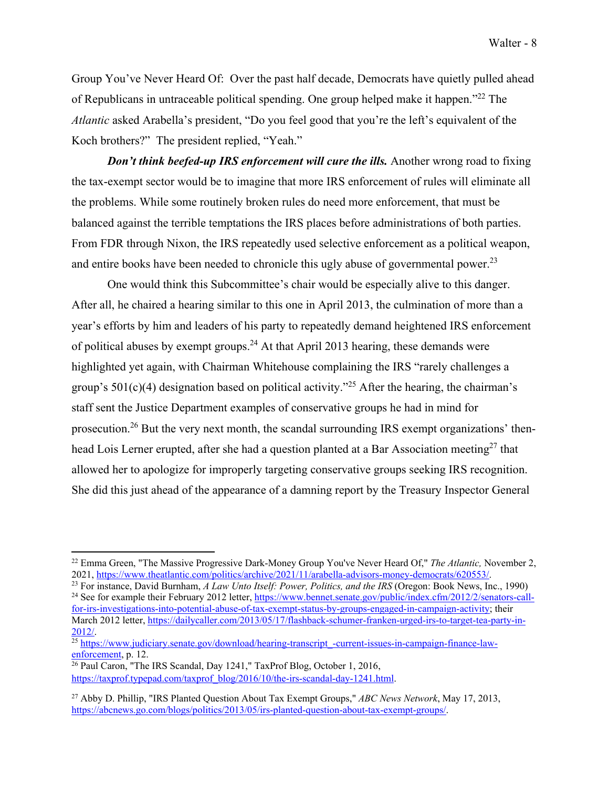Group You've Never Heard Of: Over the past half decade, Democrats have quietly pulled ahead of Republicans in untraceable political spending. One group helped make it happen."<sup>22</sup> The *Atlantic* asked Arabella's president, "Do you feel good that you're the left's equivalent of the Koch brothers?" The president replied, "Yeah."

*Don't think beefed-up IRS enforcement will cure the ills. Another wrong road to fixing* the tax-exempt sector would be to imagine that more IRS enforcement of rules will eliminate all the problems. While some routinely broken rules do need more enforcement, that must be balanced against the terrible temptations the IRS places before administrations of both parties. From FDR through Nixon, the IRS repeatedly used selective enforcement as a political weapon, and entire books have been needed to chronicle this ugly abuse of governmental power.<sup>23</sup>

One would think this Subcommittee's chair would be especially alive to this danger. After all, he chaired a hearing similar to this one in April 2013, the culmination of more than a year's efforts by him and leaders of his party to repeatedly demand heightened IRS enforcement of political abuses by exempt groups.<sup>24</sup> At that April 2013 hearing, these demands were highlighted yet again, with Chairman Whitehouse complaining the IRS "rarely challenges a group's  $501(c)(4)$  designation based on political activity."<sup>25</sup> After the hearing, the chairman's staff sent the Justice Department examples of conservative groups he had in mind for prosecution.26 But the very next month, the scandal surrounding IRS exempt organizations' thenhead Lois Lerner erupted, after she had a question planted at a Bar Association meeting<sup>27</sup> that allowed her to apologize for improperly targeting conservative groups seeking IRS recognition. She did this just ahead of the appearance of a damning report by the Treasury Inspector General

<sup>23</sup> For instance, David Burnham, *A Law Unto Itself: Power, Politics, and the IRS* (Oregon: Book News, Inc., 1990)<br><sup>24</sup> See for example their February 2012 letter, https://www.bennet.senate.gov/public/index.cfm/2012/2/se for-irs-investigations-into-potential-abuse-of-tax-exempt-status-by-groups-engaged-in-campaign-activity; their March 2012 letter, https://dailycaller.com/2013/05/17/flashback-schumer-franken-urged-irs-to-target-tea-party-in-

<sup>&</sup>lt;sup>22</sup> Emma Green, "The Massive Progressive Dark-Money Group You've Never Heard Of," *The Atlantic*, November 2, 2021, https://www.theatlantic.com/politics/archive/2021/11/arabella-advisors-money-democrats/620553/.

<sup>2012/.&</sup>lt;br><sup>25</sup> https://www.judiciary.senate.gov/download/hearing-transcript\_-current-issues-in-campaign-finance-law-<br>enforcement, p. 12.

 $\overline{^{26}$  Paul Caron, "The IRS Scandal, Day 1241," TaxProf Blog, October 1, 2016, https://taxprof.typepad.com/taxprof\_blog/2016/10/the-irs-scandal-day-1241.html.

<sup>27</sup> Abby D. Phillip, "IRS Planted Question About Tax Exempt Groups," *ABC News Network*, May 17, 2013, https://abcnews.go.com/blogs/politics/2013/05/irs-planted-question-about-tax-exempt-groups/.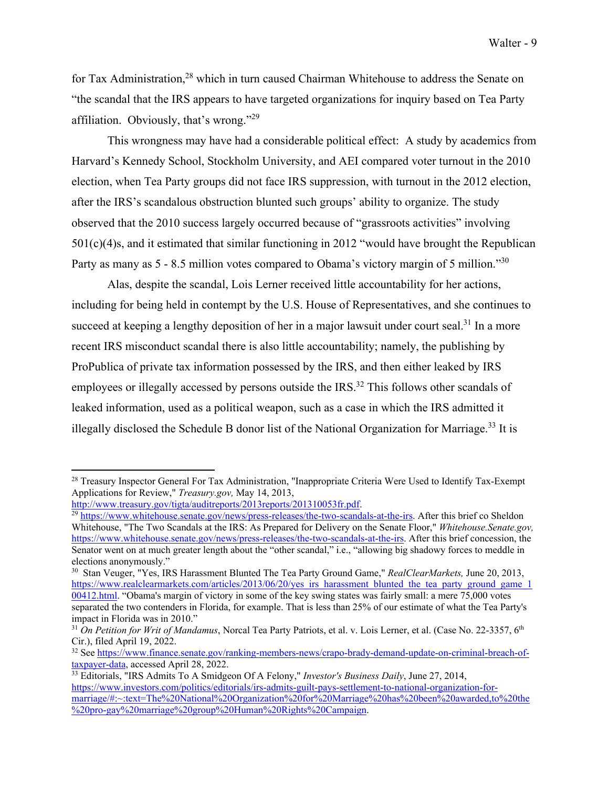for Tax Administration,<sup>28</sup> which in turn caused Chairman Whitehouse to address the Senate on "the scandal that the IRS appears to have targeted organizations for inquiry based on Tea Party affiliation. Obviously, that's wrong."<sup>29</sup>

This wrongness may have had a considerable political effect: A study by academics from Harvard's Kennedy School, Stockholm University, and AEI compared voter turnout in the 2010 election, when Tea Party groups did not face IRS suppression, with turnout in the 2012 election, after the IRS's scandalous obstruction blunted such groups' ability to organize. The study observed that the 2010 success largely occurred because of "grassroots activities" involving 501(c)(4)s, and it estimated that similar functioning in 2012 "would have brought the Republican Party as many as 5 - 8.5 million votes compared to Obama's victory margin of 5 million."<sup>30</sup>

 Alas, despite the scandal, Lois Lerner received little accountability for her actions, including for being held in contempt by the U.S. House of Representatives, and she continues to succeed at keeping a lengthy deposition of her in a major lawsuit under court seal.<sup>31</sup> In a more recent IRS misconduct scandal there is also little accountability; namely, the publishing by ProPublica of private tax information possessed by the IRS, and then either leaked by IRS employees or illegally accessed by persons outside the IRS.<sup>32</sup> This follows other scandals of leaked information, used as a political weapon, such as a case in which the IRS admitted it illegally disclosed the Schedule B donor list of the National Organization for Marriage.<sup>33</sup> It is

30 Stan Veuger, "Yes, IRS Harassment Blunted The Tea Party Ground Game," *RealClearMarkets,* June 20, 2013, https://www.realclearmarkets.com/articles/2013/06/20/yes\_irs\_harassment\_blunted\_the\_tea\_party\_ground\_game\_1 00412.html. "Obama's margin of victory in some of the key swing states was fairly small: a mere 75,000 votes separated the two contenders in Florida, for example. That is less than 25% of our estimate of what the Tea Party's impact in Florida was in 2010."

<sup>&</sup>lt;sup>28</sup> Treasury Inspector General For Tax Administration, "Inappropriate Criteria Were Used to Identify Tax-Exempt Applications for Review," *Treasury.gov*, May 14, 2013,<br>http://www.treasury.gov/tigta/auditreports/2013reports/201310053fr.pdf.

 $\frac{29 \text{ https://www.whitehouse.senate.gov/news/press-releases/the-two-scandals-at-the-irs. After this brief co Shedon}{}$ Whitehouse, "The Two Scandals at the IRS: As Prepared for Delivery on the Senate Floor," *Whitehouse.Senate.gov,*  https://www.whitehouse.senate.gov/news/press-releases/the-two-scandals-at-the-irs. After this brief concession, the Senator went on at much greater length about the "other scandal," i.e., "allowing big shadowy forces to meddle in elections anonymously."

<sup>&</sup>lt;sup>31</sup> On Petition for Writ of Mandamus, Norcal Tea Party Patriots, et al. v. Lois Lerner, et al. (Case No. 22-3357, 6<sup>th</sup> Cir.), filed April 19, 2022.

<sup>32</sup> See https://www.finance.senate.gov/ranking-members-news/crapo-brady-demand-update-on-criminal-breach-oftaxpayer-data, accessed April 28, 2022. 33 Editorials, "IRS Admits To A Smidgeon Of A Felony," *Investor's Business Daily*, June 27, 2014,

https://www.investors.com/politics/editorials/irs-admits-guilt-pays-settlement-to-national-organization-formarriage/#:~:text=The%20National%20Organization%20for%20Marriage%20has%20been%20awarded,to%20the %20pro-gay%20marriage%20group%20Human%20Rights%20Campaign.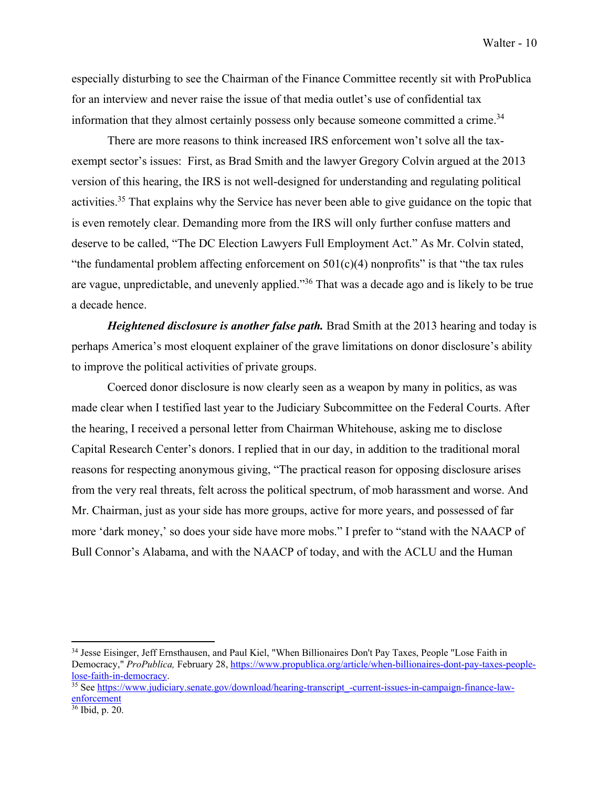especially disturbing to see the Chairman of the Finance Committee recently sit with ProPublica for an interview and never raise the issue of that media outlet's use of confidential tax information that they almost certainly possess only because someone committed a crime.<sup>34</sup>

There are more reasons to think increased IRS enforcement won't solve all the taxexempt sector's issues: First, as Brad Smith and the lawyer Gregory Colvin argued at the 2013 version of this hearing, the IRS is not well-designed for understanding and regulating political activities.<sup>35</sup> That explains why the Service has never been able to give guidance on the topic that is even remotely clear. Demanding more from the IRS will only further confuse matters and deserve to be called, "The DC Election Lawyers Full Employment Act." As Mr. Colvin stated, "the fundamental problem affecting enforcement on  $501(c)(4)$  nonprofits" is that "the tax rules" are vague, unpredictable, and unevenly applied."36 That was a decade ago and is likely to be true a decade hence.

*Heightened disclosure is another false path*. Brad Smith at the 2013 hearing and today is perhaps America's most eloquent explainer of the grave limitations on donor disclosure's ability to improve the political activities of private groups.

Coerced donor disclosure is now clearly seen as a weapon by many in politics, as was made clear when I testified last year to the Judiciary Subcommittee on the Federal Courts. After the hearing, I received a personal letter from Chairman Whitehouse, asking me to disclose Capital Research Center's donors. I replied that in our day, in addition to the traditional moral reasons for respecting anonymous giving, "The practical reason for opposing disclosure arises from the very real threats, felt across the political spectrum, of mob harassment and worse. And Mr. Chairman, just as your side has more groups, active for more years, and possessed of far more 'dark money,' so does your side have more mobs." I prefer to "stand with the NAACP of Bull Connor's Alabama, and with the NAACP of today, and with the ACLU and the Human

<sup>34</sup> Jesse Eisinger, Jeff Ernsthausen, and Paul Kiel, "When Billionaires Don't Pay Taxes, People "Lose Faith in Democracy," *ProPublica,* February 28, https://www.propublica.org/article/when-billionaires-dont-pay-taxes-peoplelose-faith-in-democracy. 35 See https://www.judiciary.senate.gov/download/hearing-transcript\_-current-issues-in-campaign-finance-law-

enforcement

<sup>36</sup> Ibid, p. 20.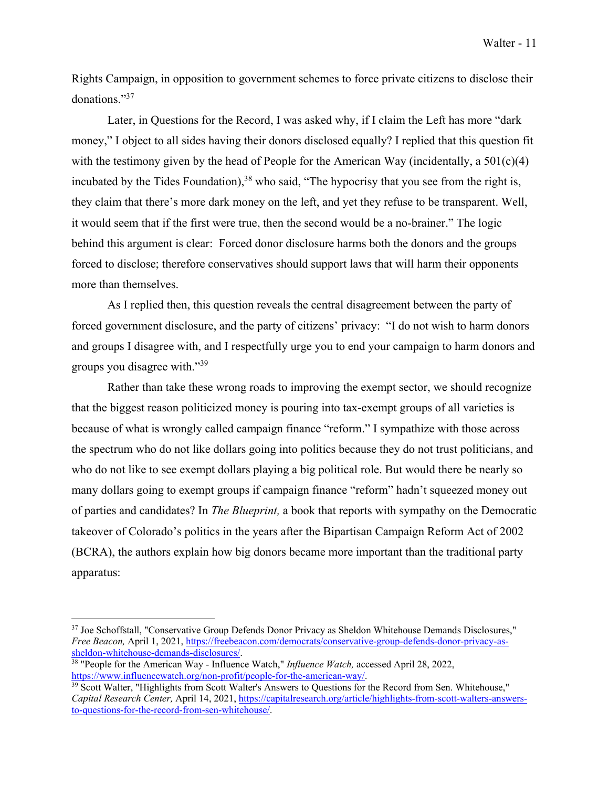Rights Campaign, in opposition to government schemes to force private citizens to disclose their donations."37

Later, in Questions for the Record, I was asked why, if I claim the Left has more "dark money," I object to all sides having their donors disclosed equally? I replied that this question fit with the testimony given by the head of People for the American Way (incidentally, a  $501(c)(4)$ ) incubated by the Tides Foundation),  $38$  who said, "The hypocrisy that you see from the right is, they claim that there's more dark money on the left, and yet they refuse to be transparent. Well, it would seem that if the first were true, then the second would be a no-brainer." The logic behind this argument is clear: Forced donor disclosure harms both the donors and the groups forced to disclose; therefore conservatives should support laws that will harm their opponents more than themselves.

As I replied then, this question reveals the central disagreement between the party of forced government disclosure, and the party of citizens' privacy: "I do not wish to harm donors and groups I disagree with, and I respectfully urge you to end your campaign to harm donors and groups you disagree with."<sup>39</sup>

Rather than take these wrong roads to improving the exempt sector, we should recognize that the biggest reason politicized money is pouring into tax-exempt groups of all varieties is because of what is wrongly called campaign finance "reform." I sympathize with those across the spectrum who do not like dollars going into politics because they do not trust politicians, and who do not like to see exempt dollars playing a big political role. But would there be nearly so many dollars going to exempt groups if campaign finance "reform" hadn't squeezed money out of parties and candidates? In *The Blueprint,* a book that reports with sympathy on the Democratic takeover of Colorado's politics in the years after the Bipartisan Campaign Reform Act of 2002 (BCRA), the authors explain how big donors became more important than the traditional party apparatus:

<sup>37</sup> Joe Schoffstall, "Conservative Group Defends Donor Privacy as Sheldon Whitehouse Demands Disclosures," *Free Beacon,* April 1, 2021, https://freebeacon.com/democrats/conservative-group-defends-donor-privacy-assheldon-whitehouse-demands-disclosures/. 38 "People for the American Way - Influence Watch," *Influence Watch,* accessed April 28, 2022,

https://www.influencewatch.org/non-profit/people-for-the-american-way/.<br><sup>39</sup> Scott Walter, "Highlights from Scott Walter's Answers to Questions for the Record from Sen. Whitehouse,"

*Capital Research Center,* April 14, 2021, https://capitalresearch.org/article/highlights-from-scott-walters-answersto-questions-for-the-record-from-sen-whitehouse/.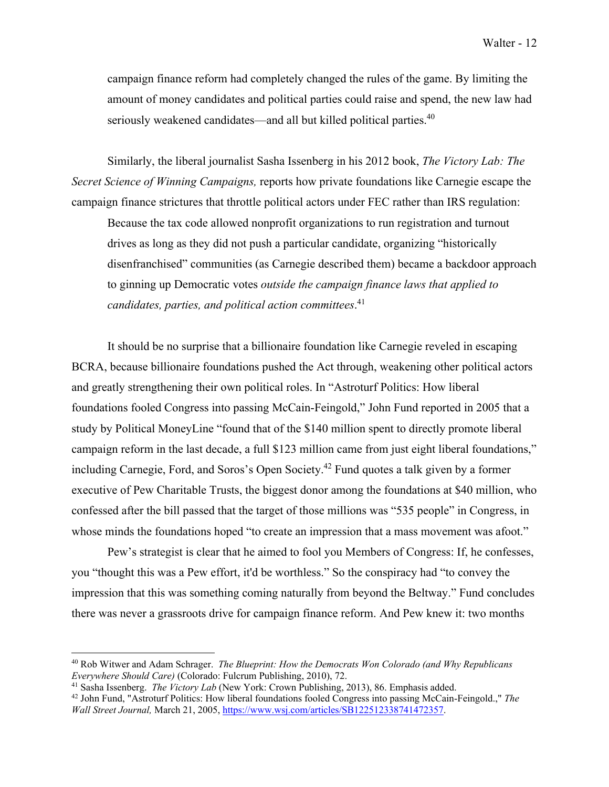campaign finance reform had completely changed the rules of the game. By limiting the amount of money candidates and political parties could raise and spend, the new law had seriously weakened candidates—and all but killed political parties.<sup>40</sup>

Similarly, the liberal journalist Sasha Issenberg in his 2012 book, *The Victory Lab: The Secret Science of Winning Campaigns,* reports how private foundations like Carnegie escape the campaign finance strictures that throttle political actors under FEC rather than IRS regulation:

Because the tax code allowed nonprofit organizations to run registration and turnout drives as long as they did not push a particular candidate, organizing "historically disenfranchised" communities (as Carnegie described them) became a backdoor approach to ginning up Democratic votes *outside the campaign finance laws that applied to candidates, parties, and political action committees*. 41

It should be no surprise that a billionaire foundation like Carnegie reveled in escaping BCRA, because billionaire foundations pushed the Act through, weakening other political actors and greatly strengthening their own political roles. In "Astroturf Politics: How liberal foundations fooled Congress into passing McCain-Feingold," John Fund reported in 2005 that a study by Political MoneyLine "found that of the \$140 million spent to directly promote liberal campaign reform in the last decade, a full \$123 million came from just eight liberal foundations," including Carnegie, Ford, and Soros's Open Society.<sup>42</sup> Fund quotes a talk given by a former executive of Pew Charitable Trusts, the biggest donor among the foundations at \$40 million, who confessed after the bill passed that the target of those millions was "535 people" in Congress, in whose minds the foundations hoped "to create an impression that a mass movement was afoot."

Pew's strategist is clear that he aimed to fool you Members of Congress: If, he confesses, you "thought this was a Pew effort, it'd be worthless." So the conspiracy had "to convey the impression that this was something coming naturally from beyond the Beltway." Fund concludes there was never a grassroots drive for campaign finance reform. And Pew knew it: two months

<sup>40</sup> Rob Witwer and Adam Schrager. *The Blueprint: How the Democrats Won Colorado (and Why Republicans Everywhere Should Care)* (Colorado: Fulcrum Publishing, 2010), 72.<br><sup>41</sup> Sasha Issenberg. *The Victory Lab* (New York: Crown Publishing, 2013), 86. Emphasis added.<br><sup>42</sup> John Fund, "Astroturf Politics: How liberal foundatio

*Wall Street Journal,* March 21, 2005, https://www.wsj.com/articles/SB122512338741472357.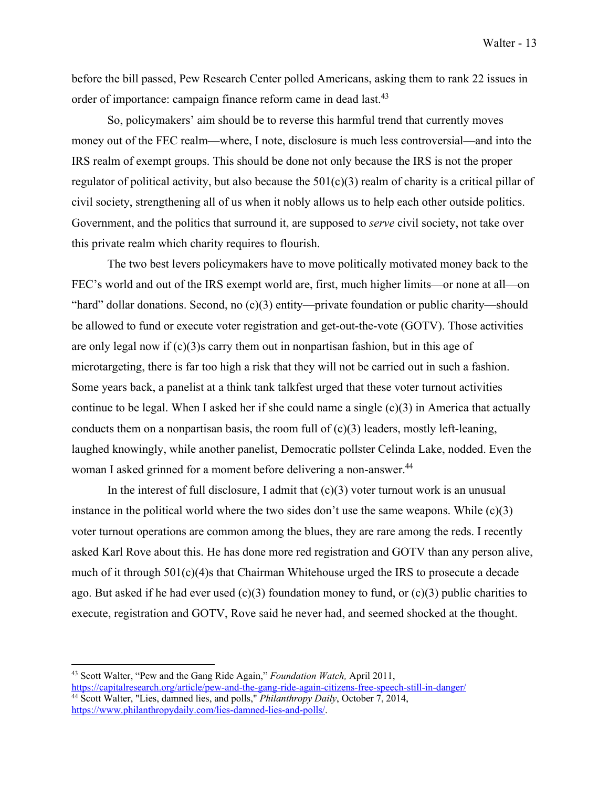before the bill passed, Pew Research Center polled Americans, asking them to rank 22 issues in order of importance: campaign finance reform came in dead last.<sup>43</sup>

So, policymakers' aim should be to reverse this harmful trend that currently moves money out of the FEC realm—where, I note, disclosure is much less controversial—and into the IRS realm of exempt groups. This should be done not only because the IRS is not the proper regulator of political activity, but also because the  $501(c)(3)$  realm of charity is a critical pillar of civil society, strengthening all of us when it nobly allows us to help each other outside politics. Government, and the politics that surround it, are supposed to *serve* civil society, not take over this private realm which charity requires to flourish.

The two best levers policymakers have to move politically motivated money back to the FEC's world and out of the IRS exempt world are, first, much higher limits—or none at all—on "hard" dollar donations. Second, no (c)(3) entity—private foundation or public charity—should be allowed to fund or execute voter registration and get-out-the-vote (GOTV). Those activities are only legal now if  $(c)(3)$ s carry them out in nonpartisan fashion, but in this age of microtargeting, there is far too high a risk that they will not be carried out in such a fashion. Some years back, a panelist at a think tank talkfest urged that these voter turnout activities continue to be legal. When I asked her if she could name a single (c)(3) in America that actually conducts them on a nonpartisan basis, the room full of  $(c)(3)$  leaders, mostly left-leaning, laughed knowingly, while another panelist, Democratic pollster Celinda Lake, nodded. Even the woman I asked grinned for a moment before delivering a non-answer.<sup>44</sup>

In the interest of full disclosure, I admit that  $(c)(3)$  voter turnout work is an unusual instance in the political world where the two sides don't use the same weapons. While  $(c)(3)$ voter turnout operations are common among the blues, they are rare among the reds. I recently asked Karl Rove about this. He has done more red registration and GOTV than any person alive, much of it through 501(c)(4)s that Chairman Whitehouse urged the IRS to prosecute a decade ago. But asked if he had ever used (c)(3) foundation money to fund, or (c)(3) public charities to execute, registration and GOTV, Rove said he never had, and seemed shocked at the thought.

<sup>43</sup> Scott Walter, "Pew and the Gang Ride Again," *Foundation Watch,* April 2011,

https://capitalresearch.org/article/pew-and-the-gang-ride-again-citizens-free-speech-still-in-danger/ 44 Scott Walter, "Lies, damned lies, and polls," *Philanthropy Daily*, October 7, 2014, https://www.philanthropydaily.com/lies-damned-lies-and-polls/.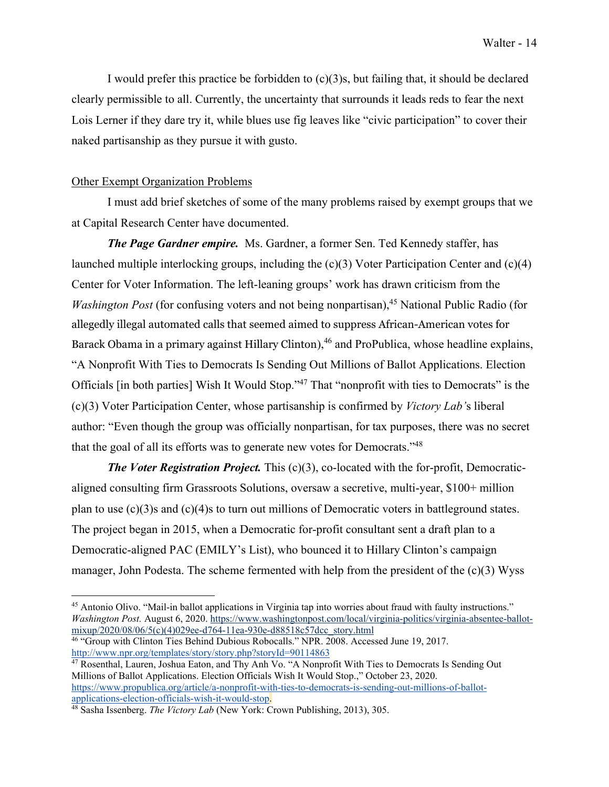I would prefer this practice be forbidden to  $(c)(3)$ s, but failing that, it should be declared clearly permissible to all. Currently, the uncertainty that surrounds it leads reds to fear the next Lois Lerner if they dare try it, while blues use fig leaves like "civic participation" to cover their naked partisanship as they pursue it with gusto.

#### Other Exempt Organization Problems

I must add brief sketches of some of the many problems raised by exempt groups that we at Capital Research Center have documented.

*The Page Gardner empire.* Ms. Gardner, a former Sen. Ted Kennedy staffer, has launched multiple interlocking groups, including the (c)(3) Voter Participation Center and (c)(4) Center for Voter Information. The left-leaning groups' work has drawn criticism from the *Washington Post* (for confusing voters and not being nonpartisan),<sup>45</sup> National Public Radio (for allegedly illegal automated calls that seemed aimed to suppress African-American votes for Barack Obama in a primary against Hillary Clinton),<sup>46</sup> and ProPublica, whose headline explains, "A Nonprofit With Ties to Democrats Is Sending Out Millions of Ballot Applications. Election Officials [in both parties] Wish It Would Stop."47 That "nonprofit with ties to Democrats" is the (c)(3) Voter Participation Center, whose partisanship is confirmed by *Victory Lab'*s liberal author: "Even though the group was officially nonpartisan, for tax purposes, there was no secret that the goal of all its efforts was to generate new votes for Democrats."48

*The Voter Registration Project.* This (c)(3), co-located with the for-profit, Democraticaligned consulting firm Grassroots Solutions, oversaw a secretive, multi-year, \$100+ million plan to use  $(c)(3)$ s and  $(c)(4)$ s to turn out millions of Democratic voters in battleground states. The project began in 2015, when a Democratic for-profit consultant sent a draft plan to a Democratic-aligned PAC (EMILY's List), who bounced it to Hillary Clinton's campaign manager, John Podesta. The scheme fermented with help from the president of the (c)(3) Wyss

<sup>&</sup>lt;sup>45</sup> Antonio Olivo. "Mail-in ballot applications in Virginia tap into worries about fraud with faulty instructions." *Washington Post.* August 6, 2020. https://www.washingtonpost.com/local/virginia-politics/virginia-absentee-ballotmixup/2020/08/06/5(c)(4)029ee-d764-11ea-930e-d88518c57dcc\_story.html

<sup>46 &</sup>quot;Group with Clinton Ties Behind Dubious Robocalls." NPR. 2008. Accessed June 19, 2017. http://www.npr.org/templates/story/story.php?storyId=90114863

<sup>47</sup> Rosenthal, Lauren, Joshua Eaton, and Thy Anh Vo. "A Nonprofit With Ties to Democrats Is Sending Out Millions of Ballot Applications. Election Officials Wish It Would Stop.," October 23, 2020. https://www.propublica.org/article/a-nonprofit-with-ties-to-democrats-is-sending-out-millions-of-ballot-

<sup>&</sup>lt;sup>48</sup> Sasha Issenberg. *The Victory Lab* (New York: Crown Publishing, 2013), 305.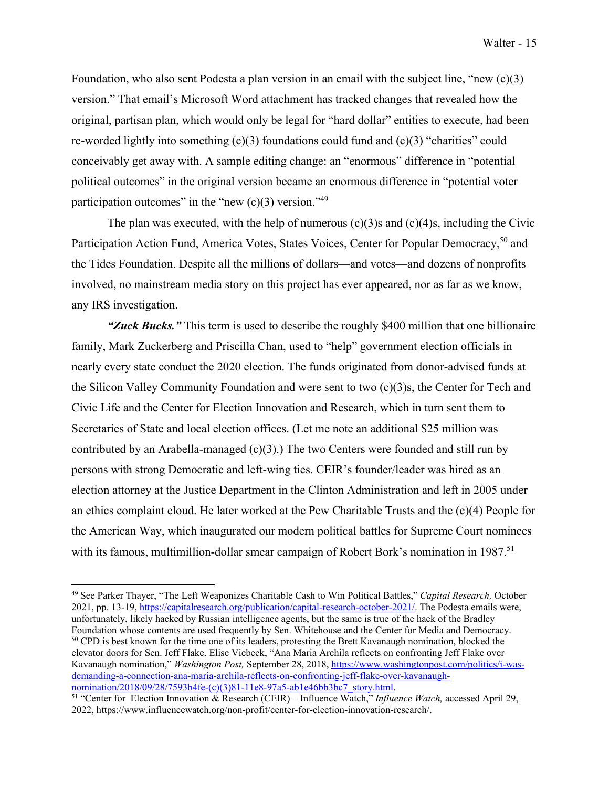Foundation, who also sent Podesta a plan version in an email with the subject line, "new (c)(3) version." That email's Microsoft Word attachment has tracked changes that revealed how the original, partisan plan, which would only be legal for "hard dollar" entities to execute, had been re-worded lightly into something  $(c)(3)$  foundations could fund and  $(c)(3)$  "charities" could conceivably get away with. A sample editing change: an "enormous" difference in "potential political outcomes" in the original version became an enormous difference in "potential voter participation outcomes" in the "new  $(c)(3)$  version."<sup>49</sup>

The plan was executed, with the help of numerous  $(c)(3)$ s and  $(c)(4)$ s, including the Civic Participation Action Fund, America Votes, States Voices, Center for Popular Democracy,<sup>50</sup> and the Tides Foundation. Despite all the millions of dollars—and votes—and dozens of nonprofits involved, no mainstream media story on this project has ever appeared, nor as far as we know, any IRS investigation.

*"Zuck Bucks."* This term is used to describe the roughly \$400 million that one billionaire family, Mark Zuckerberg and Priscilla Chan, used to "help" government election officials in nearly every state conduct the 2020 election. The funds originated from donor-advised funds at the Silicon Valley Community Foundation and were sent to two (c)(3)s, the Center for Tech and Civic Life and the Center for Election Innovation and Research, which in turn sent them to Secretaries of State and local election offices. (Let me note an additional \$25 million was contributed by an Arabella-managed  $(c)(3)$ .) The two Centers were founded and still run by persons with strong Democratic and left-wing ties. CEIR's founder/leader was hired as an election attorney at the Justice Department in the Clinton Administration and left in 2005 under an ethics complaint cloud. He later worked at the Pew Charitable Trusts and the (c)(4) People for the American Way, which inaugurated our modern political battles for Supreme Court nominees with its famous, multimillion-dollar smear campaign of Robert Bork's nomination in 1987.<sup>51</sup>

<sup>49</sup> See Parker Thayer, "The Left Weaponizes Charitable Cash to Win Political Battles," *Capital Research,* October 2021, pp. 13-19, https://capitalresearch.org/publication/capital-research-october-2021/. The Podesta emails were, unfortunately, likely hacked by Russian intelligence agents, but the same is true of the hack of the Bradley Foundation whose contents are used frequently by Sen. Whitehouse and the Center for Media and Democracy.<br><sup>50</sup> CPD is best known for the time one of its leaders, protesting the Brett Kavanaugh nomination, blocked the elevator doors for Sen. Jeff Flake. Elise Viebeck, "Ana Maria Archila reflects on confronting Jeff Flake over Kavanaugh nomination," *Washington Post,* September 28, 2018, https://www.washingtonpost.com/politics/i-wasdemanding-a-connection-ana-maria-archila-reflects-on-confronting-jeff-flake-over-kavanaugh-<br>nomination/2018/09/28/7593b4fe-(c)(3)81-11e8-97a5-ab1e46bb3bc7\_story.html.

<sup>&</sup>lt;sup>51</sup> "Center for Election Innovation & Research (CEIR) – Influence Watch," *Influence Watch*, accessed April 29, 2022, https://www.influencewatch.org/non-profit/center-for-election-innovation-research/.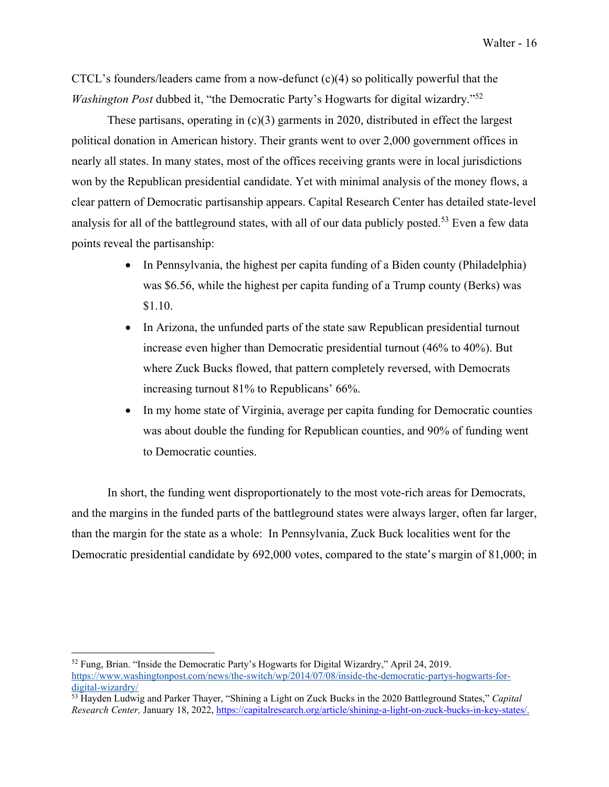CTCL's founders/leaders came from a now-defunct  $(c)(4)$  so politically powerful that the *Washington Post dubbed it, "the Democratic Party's Hogwarts for digital wizardry."<sup>52</sup>* 

These partisans, operating in  $(c)(3)$  garments in 2020, distributed in effect the largest political donation in American history. Their grants went to over 2,000 government offices in nearly all states. In many states, most of the offices receiving grants were in local jurisdictions won by the Republican presidential candidate. Yet with minimal analysis of the money flows, a clear pattern of Democratic partisanship appears. Capital Research Center has detailed state-level analysis for all of the battleground states, with all of our data publicly posted.<sup>53</sup> Even a few data points reveal the partisanship:

- In Pennsylvania, the highest per capita funding of a Biden county (Philadelphia) was \$6.56, while the highest per capita funding of a Trump county (Berks) was \$1.10.
- In Arizona, the unfunded parts of the state saw Republican presidential turnout increase even higher than Democratic presidential turnout (46% to 40%). But where Zuck Bucks flowed, that pattern completely reversed, with Democrats increasing turnout 81% to Republicans' 66%.
- In my home state of Virginia, average per capita funding for Democratic counties was about double the funding for Republican counties, and 90% of funding went to Democratic counties.

In short, the funding went disproportionately to the most vote-rich areas for Democrats, and the margins in the funded parts of the battleground states were always larger, often far larger, than the margin for the state as a whole: In Pennsylvania, Zuck Buck localities went for the Democratic presidential candidate by 692,000 votes, compared to the state's margin of 81,000; in

<sup>52</sup> Fung, Brian. "Inside the Democratic Party's Hogwarts for Digital Wizardry," April 24, 2019. https://www.washingtonpost.com/news/the-switch/wp/2014/07/08/inside-the-democratic-partys-hogwarts-fordigital-wizardry/

<sup>53</sup> Hayden Ludwig and Parker Thayer, "Shining a Light on Zuck Bucks in the 2020 Battleground States," *Capital Research Center,* January 18, 2022, https://capitalresearch.org/article/shining-a-light-on-zuck-bucks-in-key-states/.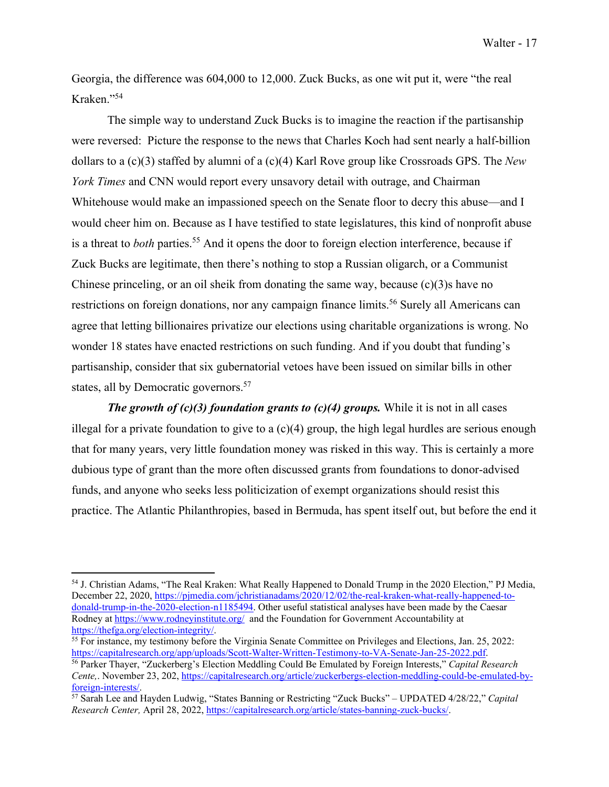Georgia, the difference was 604,000 to 12,000. Zuck Bucks, as one wit put it, were "the real Kraken."54

The simple way to understand Zuck Bucks is to imagine the reaction if the partisanship were reversed: Picture the response to the news that Charles Koch had sent nearly a half-billion dollars to a (c)(3) staffed by alumni of a (c)(4) Karl Rove group like Crossroads GPS. The *New York Times* and CNN would report every unsavory detail with outrage, and Chairman Whitehouse would make an impassioned speech on the Senate floor to decry this abuse—and I would cheer him on. Because as I have testified to state legislatures, this kind of nonprofit abuse is a threat to *both* parties.<sup>55</sup> And it opens the door to foreign election interference, because if Zuck Bucks are legitimate, then there's nothing to stop a Russian oligarch, or a Communist Chinese princeling, or an oil sheik from donating the same way, because  $(c)(3)$ s have no restrictions on foreign donations, nor any campaign finance limits.<sup>56</sup> Surely all Americans can agree that letting billionaires privatize our elections using charitable organizations is wrong. No wonder 18 states have enacted restrictions on such funding. And if you doubt that funding's partisanship, consider that six gubernatorial vetoes have been issued on similar bills in other states, all by Democratic governors.<sup>57</sup>

*The growth of (c)(3) foundation grants to (c)(4) groups.* While it is not in all cases illegal for a private foundation to give to a  $(c)(4)$  group, the high legal hurdles are serious enough that for many years, very little foundation money was risked in this way. This is certainly a more dubious type of grant than the more often discussed grants from foundations to donor-advised funds, and anyone who seeks less politicization of exempt organizations should resist this practice. The Atlantic Philanthropies, based in Bermuda, has spent itself out, but before the end it

<sup>54</sup> J. Christian Adams, "The Real Kraken: What Really Happened to Donald Trump in the 2020 Election," PJ Media, December 22, 2020, https://pjmedia.com/jchristianadams/2020/12/02/the-real-kraken-what-really-happened-todonald-trump-in-the-2020-election-n1185494. Other useful statistical analyses have been made by the Caesar Rodney at https://www.rodneyinstitute.org/ and the Foundation for Government Accountability at https://thefga.org/election-integrity/

<sup>&</sup>lt;sup>55</sup> For instance, my testimony before the Virginia Senate Committee on Privileges and Elections, Jan. 25, 2022:<br>https://capitalresearch.org/app/uploads/Scott-Walter-Written-Testimony-to-VA-Senate-Jan-25-2022.pdf.

<sup>&</sup>lt;sup>56</sup> Parker Thayer, "Zuckerberg's Election Meddling Could Be Emulated by Foreign Interests," *Capital Research Cente,*. November 23, 202, https://capitalresearch.org/article/zuckerbergs-election-meddling-could-be-emulated-by-

foreign-interests/. 57 Sarah Lee and Hayden Ludwig, "States Banning or Restricting "Zuck Bucks" – UPDATED 4/28/22," *Capital Research Center,* April 28, 2022, https://capitalresearch.org/article/states-banning-zuck-bucks/.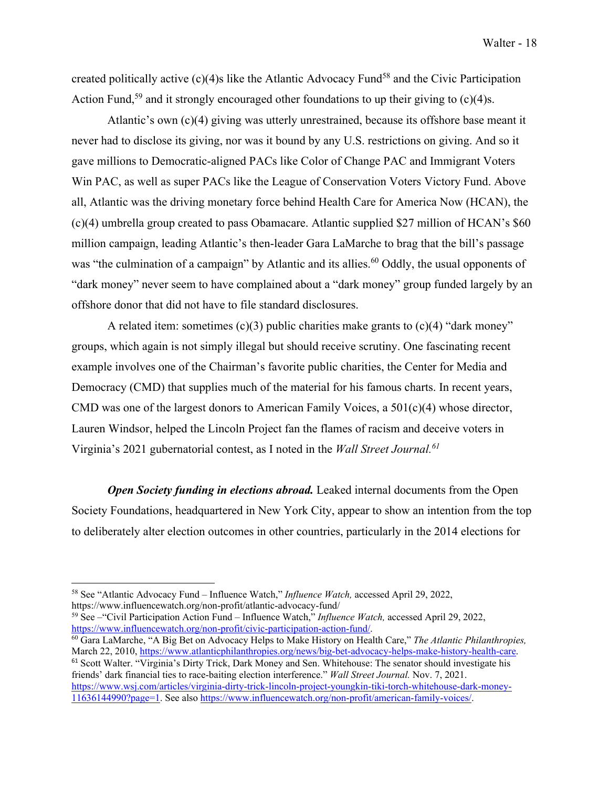created politically active  $(c)(4)$ s like the Atlantic Advocacy Fund<sup>58</sup> and the Civic Participation Action Fund,<sup>59</sup> and it strongly encouraged other foundations to up their giving to  $(c)(4)$ s.

Atlantic's own (c)(4) giving was utterly unrestrained, because its offshore base meant it never had to disclose its giving, nor was it bound by any U.S. restrictions on giving. And so it gave millions to Democratic-aligned PACs like Color of Change PAC and Immigrant Voters Win PAC, as well as super PACs like the League of Conservation Voters Victory Fund. Above all, Atlantic was the driving monetary force behind Health Care for America Now (HCAN), the (c)(4) umbrella group created to pass Obamacare. Atlantic supplied \$27 million of HCAN's \$60 million campaign, leading Atlantic's then-leader Gara LaMarche to brag that the bill's passage was "the culmination of a campaign" by Atlantic and its allies.<sup>60</sup> Oddly, the usual opponents of "dark money" never seem to have complained about a "dark money" group funded largely by an offshore donor that did not have to file standard disclosures.

A related item: sometimes  $(c)(3)$  public charities make grants to  $(c)(4)$  "dark money" groups, which again is not simply illegal but should receive scrutiny. One fascinating recent example involves one of the Chairman's favorite public charities, the Center for Media and Democracy (CMD) that supplies much of the material for his famous charts. In recent years, CMD was one of the largest donors to American Family Voices, a 501(c)(4) whose director, Lauren Windsor, helped the Lincoln Project fan the flames of racism and deceive voters in Virginia's 2021 gubernatorial contest, as I noted in the *Wall Street Journal.61*

*Open Society funding in elections abroad.* Leaked internal documents from the Open Society Foundations, headquartered in New York City, appear to show an intention from the top to deliberately alter election outcomes in other countries, particularly in the 2014 elections for

https://www.influencewatch.org/non-profit/atlantic-advocacy-fund/<br><sup>59</sup> See – "Civil Participation Action Fund – Influence Watch," *Influence Watch*, accessed April 29, 2022,<br>https://www.influencewatch.org/non-profit/civic-

<sup>60</sup> Gara LaMarche, "A Big Bet on Advocacy Helps to Make History on Health Care," *The Atlantic Philanthropies*, March 22, 2010, https://www.atlanticphilanthropies.org/news/big-bet-advocacy-helps-make-history-health-care. <sup>61</sup> Scott Walter. "Virginia's Dirty Trick, Dark Money and Sen. Whitehouse: The senator should investigate his friends' dark financial ties to race-baiting election interference." *Wall Street Journal.* Nov. 7, 2021. https://www.wsj.com/articles/virginia-dirty-trick-lincoln-project-youngkin-tiki-torch-whitehouse-dark-money-11636144990?page=1. See also https://www.influencewatch.org/non-profit/american-family-voices/.

<sup>58</sup> See "Atlantic Advocacy Fund – Influence Watch," *Influence Watch,* accessed April 29, 2022,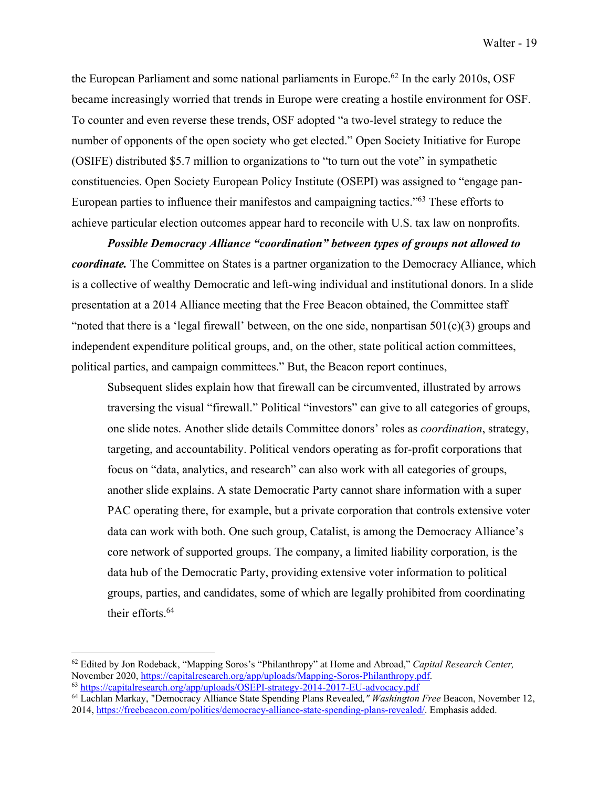the European Parliament and some national parliaments in Europe.<sup>62</sup> In the early 2010s, OSF became increasingly worried that trends in Europe were creating a hostile environment for OSF. To counter and even reverse these trends, OSF adopted "a two-level strategy to reduce the number of opponents of the open society who get elected." Open Society Initiative for Europe (OSIFE) distributed \$5.7 million to organizations to "to turn out the vote" in sympathetic constituencies. Open Society European Policy Institute (OSEPI) was assigned to "engage pan-European parties to influence their manifestos and campaigning tactics."63 These efforts to achieve particular election outcomes appear hard to reconcile with U.S. tax law on nonprofits.

*Possible Democracy Alliance "coordination" between types of groups not allowed to coordinate.* The Committee on States is a partner organization to the Democracy Alliance, which is a collective of wealthy Democratic and left-wing individual and institutional donors. In a slide presentation at a 2014 Alliance meeting that the Free Beacon obtained, the Committee staff "noted that there is a 'legal firewall' between, on the one side, nonpartisan  $501(c)(3)$  groups and independent expenditure political groups, and, on the other, state political action committees, political parties, and campaign committees." But, the Beacon report continues,

Subsequent slides explain how that firewall can be circumvented, illustrated by arrows traversing the visual "firewall." Political "investors" can give to all categories of groups, one slide notes. Another slide details Committee donors' roles as *coordination*, strategy, targeting, and accountability. Political vendors operating as for-profit corporations that focus on "data, analytics, and research" can also work with all categories of groups, another slide explains. A state Democratic Party cannot share information with a super PAC operating there, for example, but a private corporation that controls extensive voter data can work with both. One such group, Catalist, is among the Democracy Alliance's core network of supported groups. The company, a limited liability corporation, is the data hub of the Democratic Party, providing extensive voter information to political groups, parties, and candidates, some of which are legally prohibited from coordinating their efforts.<sup>64</sup>

<sup>&</sup>lt;sup>62</sup> Edited by Jon Rodeback, "Mapping Soros's "Philanthropy" at Home and Abroad," *Capital Research Center*, November 2020, https://capitalresearch.org/app/uploads/Mapping-Soros-Philanthropy.pdf. 63 https://capitalresearch.org/app/uploads/OSEPI-strategy-2014-2017-EU-advocacy.pdf

<sup>64</sup> Lachlan Markay, "Democracy Alliance State Spending Plans Revealed*," Washington Free* Beacon, November 12,

<sup>2014,</sup> https://freebeacon.com/politics/democracy-alliance-state-spending-plans-revealed/. Emphasis added.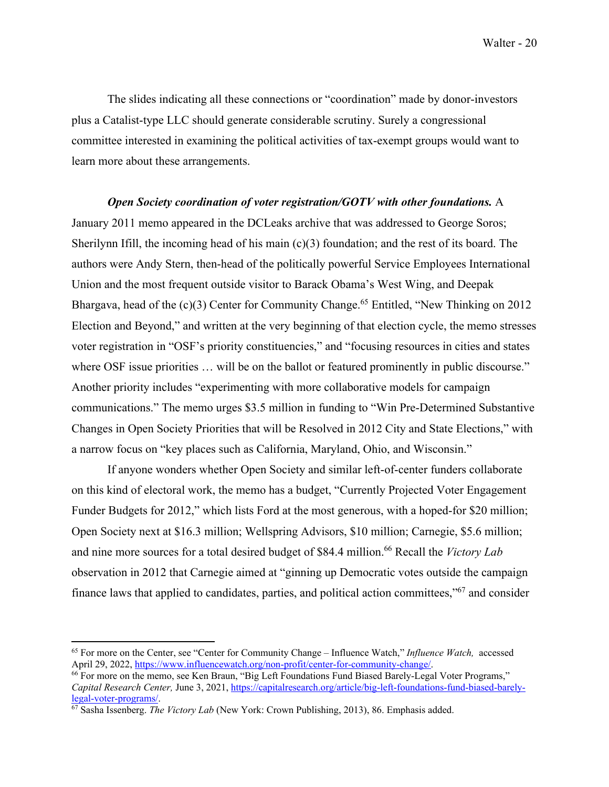Walter - 20

The slides indicating all these connections or "coordination" made by donor-investors plus a Catalist-type LLC should generate considerable scrutiny. Surely a congressional committee interested in examining the political activities of tax-exempt groups would want to learn more about these arrangements.

*Open Society coordination of voter registration/GOTV with other foundations.* A January 2011 memo appeared in the DCLeaks archive that was addressed to George Soros; Sherilynn Ifill, the incoming head of his main  $(c)(3)$  foundation; and the rest of its board. The authors were Andy Stern, then-head of the politically powerful Service Employees International Union and the most frequent outside visitor to Barack Obama's West Wing, and Deepak Bhargava, head of the  $(c)(3)$  Center for Community Change.<sup>65</sup> Entitled, "New Thinking on 2012 Election and Beyond," and written at the very beginning of that election cycle, the memo stresses voter registration in "OSF's priority constituencies," and "focusing resources in cities and states where OSF issue priorities ... will be on the ballot or featured prominently in public discourse." Another priority includes "experimenting with more collaborative models for campaign communications." The memo urges \$3.5 million in funding to "Win Pre-Determined Substantive Changes in Open Society Priorities that will be Resolved in 2012 City and State Elections," with a narrow focus on "key places such as California, Maryland, Ohio, and Wisconsin."

If anyone wonders whether Open Society and similar left-of-center funders collaborate on this kind of electoral work, the memo has a budget, "Currently Projected Voter Engagement Funder Budgets for 2012," which lists Ford at the most generous, with a hoped-for \$20 million; Open Society next at \$16.3 million; Wellspring Advisors, \$10 million; Carnegie, \$5.6 million; and nine more sources for a total desired budget of \$84.4 million.<sup>66</sup> Recall the *Victory Lab* observation in 2012 that Carnegie aimed at "ginning up Democratic votes outside the campaign finance laws that applied to candidates, parties, and political action committees,"67 and consider

<sup>&</sup>lt;sup>65</sup> For more on the Center, see "Center for Community Change – Influence Watch," *Influence Watch*, accessed April 29, 2022, https://www.influencewatch.org/non-profit/center-for-community-change/.

<sup>&</sup>lt;sup>66</sup> For more on the memo, see Ken Braun, "Big Left Foundations Fund Biased Barely-Legal Voter Programs," *Capital Research Center, June 3, 2021, https://capitalresearch.org/article/big-left-foundations-fund-biased-barely-<br>legal-voter-programs/.* 

<sup>&</sup>lt;sup>67</sup> Sasha Issenberg. *The Victory Lab* (New York: Crown Publishing, 2013), 86. Emphasis added.